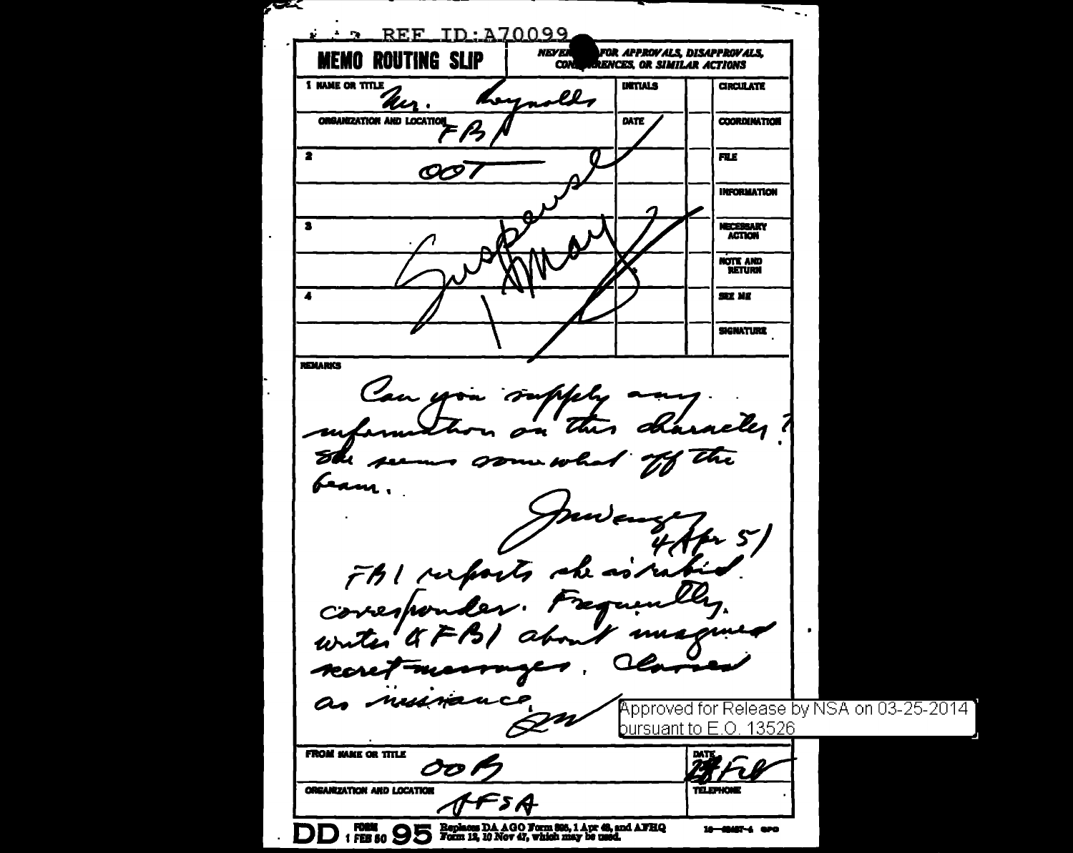**TELE**  $\sim$  . . . . REF ID: A70099 **NEVER FOR APPROVALS, DISAPPROVALS, MEMO ROUTING SLIP RENCES, OR SIMILAR ACTIONS CON 1 NAME OR TITLE URTIALS CIRCULATE** asll Lena Kır ORGANIZATION AND LOCATION DATE **COORDINATION**  $\overline{\bullet}$ **FILE**  $O\!O$ **INFORMATION** MECEBBARY  $\overline{\mathbf{a}}$ **ACTION** NOTE AND **RETURN** SEE NE **SIGNATURE REMARKS** Can you supply a elez ? this do ru She seems some w heam,  $5'$ FBI resports she as in corresponder. Frequen writer a mm -rss a æcres ruconan  $\boldsymbol{a}$ Approved for Release by NSA on 03-25-2014  $\bm{\not\!\! Z}$ bursuant to E.O. 13526 **FROM MAKE OR TITLE** OO. **ORGANIZATION AND LOCATION TELEPHONE** 5 A DD: FBS 80 95 Form 12, 10 Nov 47, which may be used. 10-49457-4 aPO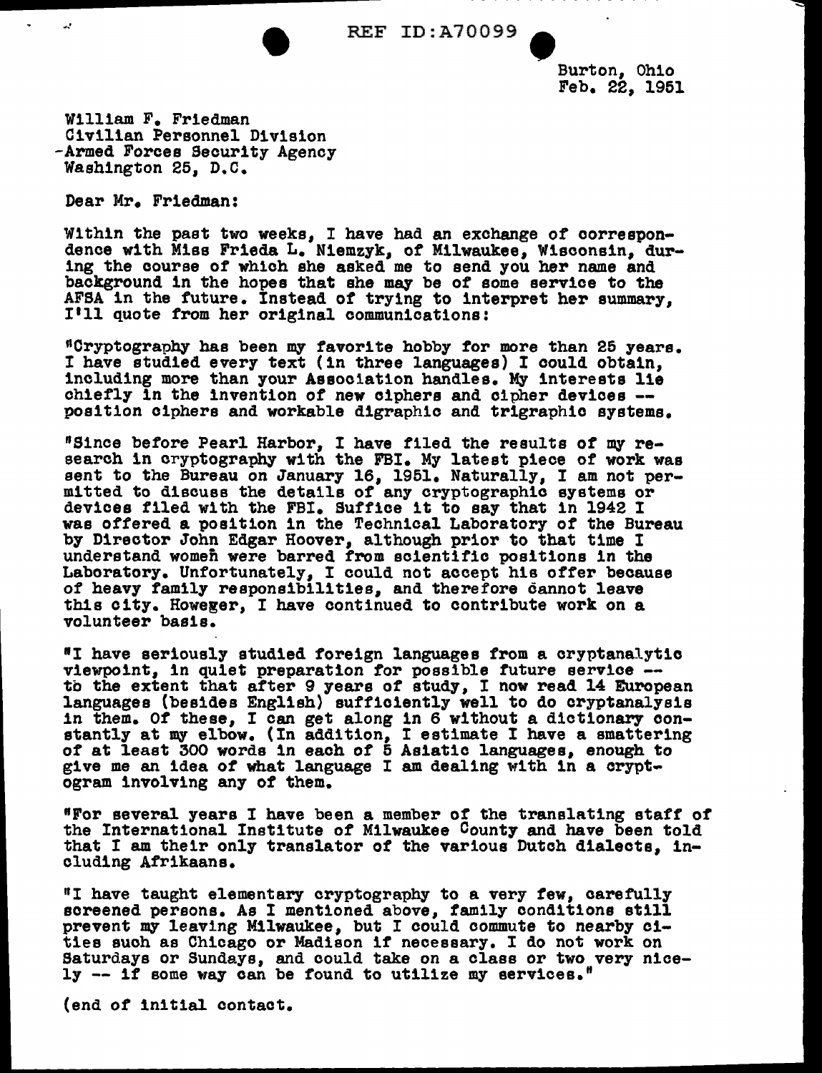

REF ID:A70099<br>Burton, Ohio<br>Feb. 22, 195 Feb. 22, 1951

William F. Friedman Civilian Personnel Division -Armed Forces Security Agency Washington 25, D.C.

Dear Mr. Friedman:

Within the past two weeks, I have had an exchange of correspon- dence with Miss Frieda L. N1emzyk, *ot* Milwaukee, Wisconsin, during the course or which she asked me to send you her name and background in the hopes that she may be of some service to the AFSA in the future. Instead of trying to interpret her summary, I'll quote from her original communications:

"Cryptography has been my favorite hobby tor more than 25 years. I have studied every text (in three languages) I could obtain, including more than your Association handles. My interests lie chiefly in the invention *ot* new ciphers and cipher devices -- position ciphers and workable digraphic and trigraphic systems.

"Since before Pearl Harbor, I have filed the results of my research in cryptography with the FBI. My latest piece of work was sent to the Bureau on January 16, 1951. Naturally, I am not per-<br>mitted to discuss the details of any cryptographic systems or devices filed with the FBI. Suffice it to say that in 1942 I was offered a position in the Technical Laboratory of the Bureau by Director John Edgar Hoover, although prior to that time I understand women were barred from scientific positions in the Laboratory. Unfortunately, I could not accept his offer because of heavy family responsibilities, and therefore cannot leave this city. Howeger, I have continued to contribute work on a volunteer basis.

"I have seriously studied foreign languages from a cryptanalytic viewpoint, in quiet preparation for possible future service --<br>to the extent that after 9 years of study, I now read 14 European<br>languages (besides English) sufficiently well to do cryptanalysis<br>in them. Of these, I can ge stantly at my elbow. (In addition, I estimate I have a smattering of at least 300 words in each of 5 Asiatic languages, enough to give me an idea *ot* what language I am dealing with in a cryptogram involving any of them.

"For several years I have been a member of the translating staff of the International Institute of Milwaukee County and have been told that I am their only translator of the various Dutch dialects, including Afrikaans.

"I have taught elementary cryptography to a very few, carefully screened persons. As I mentioned above, family conditions still prevent my leaving Milwaukee, but I could commute to nearby cities such as Chicago or Madison if necessary. I do not work on Saturdays or Sundays, and could take on a class or two very nicely -- it some way can be found to utilize my services."

(end of initial contact.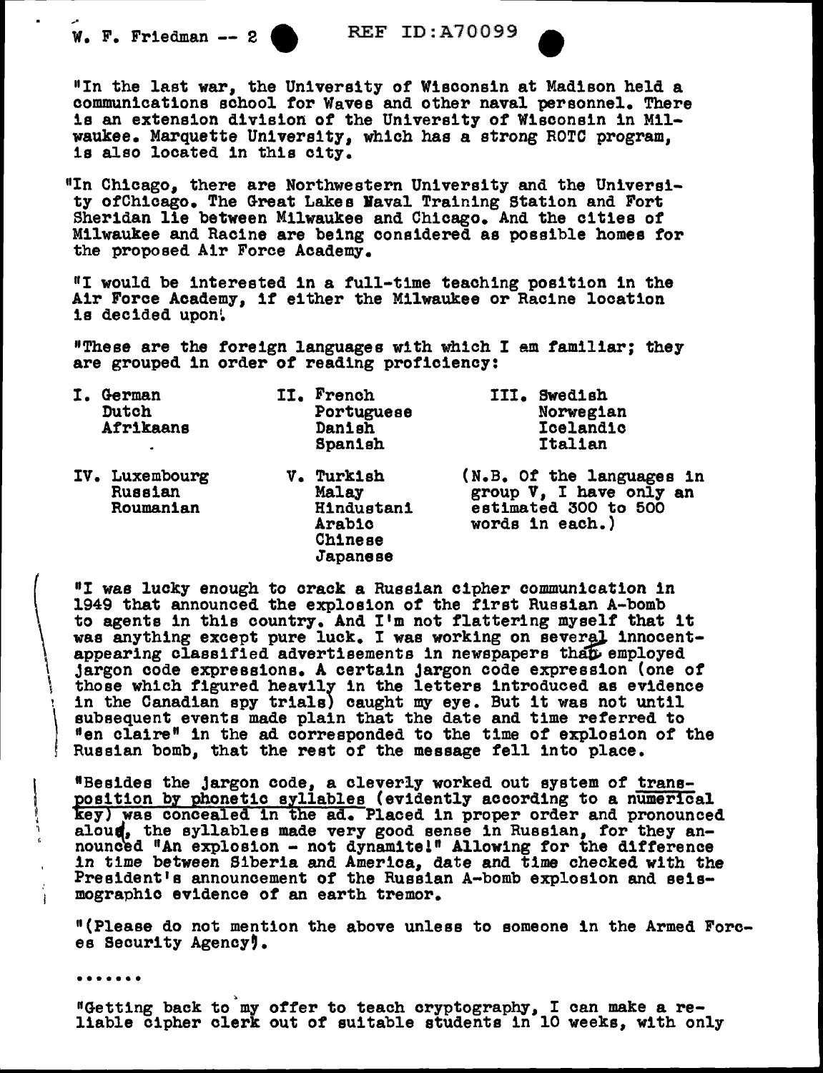$W.$  F. Friedman -- 2 REF ID:A70099

,.

w. F. Friedman -- 2 (REE ID:A70099)<br>
\*In the last war, the University of Wisconsin at Madison held a communications school for Waves and other naval personnel. There is an extension division of the University of Wisconsin in Milwaukee. Marquette University, which has a strong ROTC program, is also located in this city.

<sup>11</sup> In Chicago, there are Northwestern University and the University ofChicago. The Great Lakes Vaval Training Station and Fort Sheridan lie between Milwaukee and Chicago. And the cities of Milwaukee and Racine are being considered as possible homes for the proposed Air Force Academy.

 $"I$  would be interested in a full-time teaching position in the Air Force Academy, if either the Milwaukee or Racine location is decided upon!

"These are the foreign languages with which I am familiar; they are grouped in order of reading proficiency:

| German<br>Dutch<br>Afrikaans<br>$\bullet$ | II. | French<br>Portuguese<br>Danish<br>Spanish                                     | III.<br>Swedish<br>Norwegian<br>Icelandic<br><b>Italian</b>                                     |
|-------------------------------------------|-----|-------------------------------------------------------------------------------|-------------------------------------------------------------------------------------------------|
| IV. Luxembourg<br>Russian<br>Roumanian    | V.  | Turkish<br>Malay<br><b>Hindustani</b><br><b>Arabic</b><br>Chinese<br>Japanese | (N.B. Of the languages in<br>group V, I have only an<br>estimated 300 to 500<br>words in each.) |

"I was lucky enough to crack a Russian cipher communication in 1949 that announced the explosion of the first Russian A-bomb to agents in this country. And I'm not flattering myself that it was anything except pure luck. I was working on several innocentappearing classified advertisements in newspapers than employed jargon code expressions. A certain jargon code expression (one of those which figured heavily in the letters introduced as evidence ' in the Canadian spy trials) caught my eye. But it was not until subsequent events made plain that the date and time referred to "en claire" in the ad corresponded to the time of explosion of the Russian bomb, that the rest of the message fell into place.

"Besides the jargon code, a cleverly worked out system *ot* transposition by phonetic syllables (evidently according to a numerical key) was concealed in the ad. Placed in proper order and pronounced aloud, the syllables made very good sense in Russian, for they announced "An explosion - not dynamite!" Allowing for the difference in time between Siberia and America, date and time checked with the President's announcement of the Russian A-bomb explosion and seismographic evidence of an earth tremor.

"(Please do not mention the above unless to someone in the Armed Forces Security Agency,

(

 $\mathcal{L}$ 

 $\int\limits_{-\infty}^{\infty}$ j '\

> ••••••••<br>"Getting back to my offer to teach cryptography, I can make a reliable cipher clerk out of suitable students in 10 weeks, with only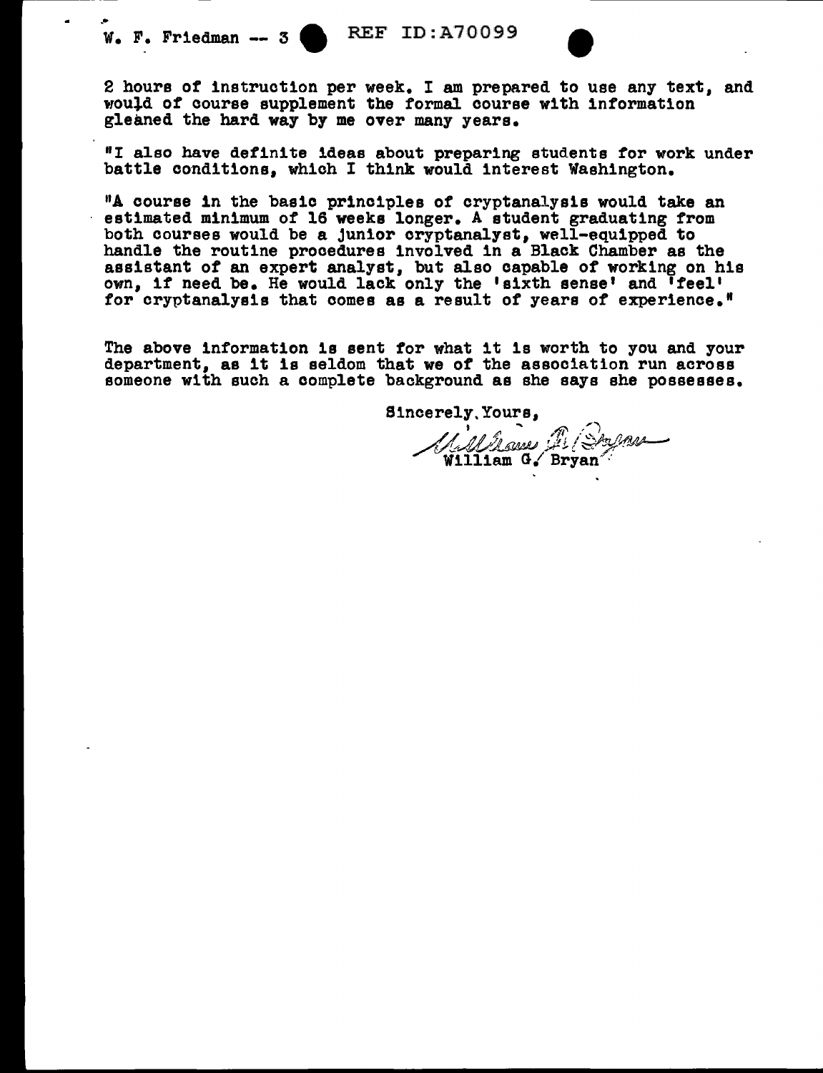.•

w. F. Friedman -- 3 (REF ID: A70099)<br>2 hours of instruction per week. I am prepared to use any text, and would of course supplement the formal course with information gleaned the hard way by me over many years.

"I also have definite ideas about preparing students for work under battle conditions, which I think would interest Washington.

"A course in the basic principles of cryptanalysis would take an estimated minimum of 16 weeks longer. A student graduating from both courses would be a Junior cryptanalyst, well-equipped to handle the routine procedures involved in a Black Chamber as the assistant of an expert analyst, but also capable of working on his own, if need be. He would lack only the 'sixth sense' and 'feel' for cryptanalysis that comes as a result of years of experience.<sup>#</sup>

The above information is sent for what it ls worth to you and your department, as it ls seldom that we of the association run across someone with such a complete background as she says she possesses.

Sincerely.Yours,  $II$ <sup>'</sup>  $\ell$ <sup>1</sup>  $\ell$ <sub>1</sub>  $\ldots$   $\ell$ <sup>18</sup> *i*s *have* /~!.//.V../!.J~ ~ *!, !* ·;;:::::'-";>?- ~,,- William GI Bryan *:*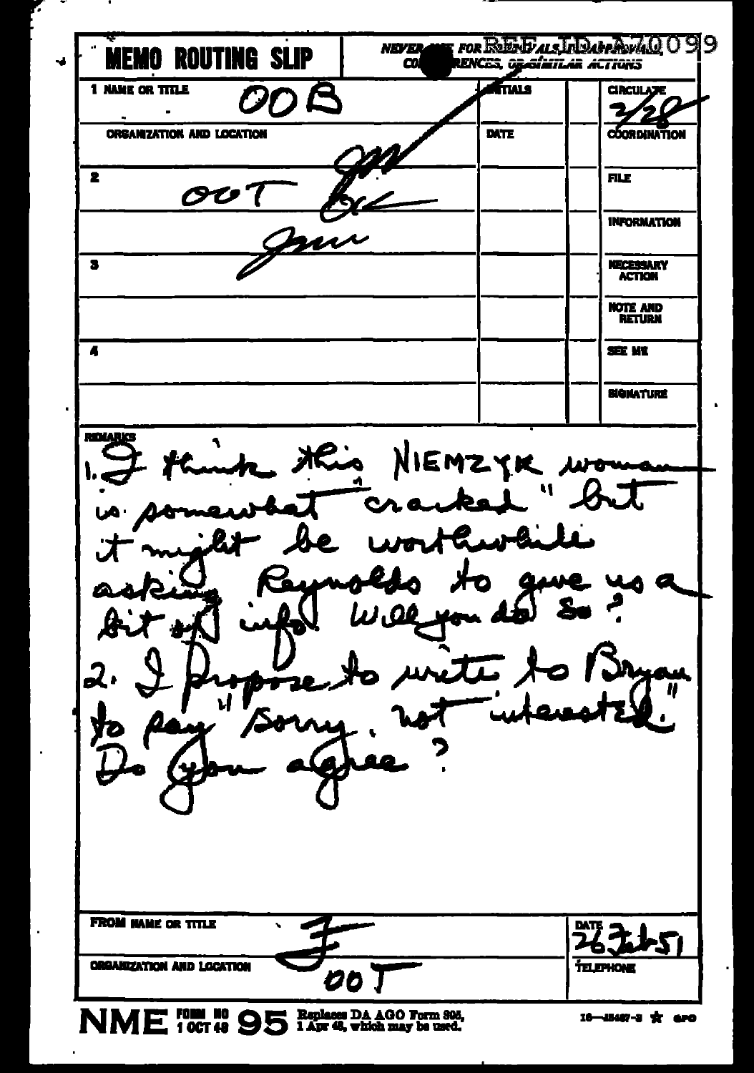| <b>NEVER</b><br><b>ROUTING SLIP</b><br>മ | UNCES, Opoluitar ACTIONS | 99<br>FOR ROES BLACK IN DAPPROVAL O |
|------------------------------------------|--------------------------|-------------------------------------|
| 1 NAME OR TITLE<br>nR<br>01              | ftals                    | <b>CIRCULATE</b>                    |
| <b>ORGANIZATION AND LOCATION</b>         | <b>DATE</b>              | COORDINATION                        |
| 2                                        |                          | <b>FILE</b>                         |
|                                          |                          | <b>INFORMATION</b>                  |
| 3                                        |                          | <b>NECESSARY</b><br><b>ACTION</b>   |
|                                          |                          | <b>NOTE AND<br/>RETURN</b>          |
| A                                        |                          | SEE ME                              |
|                                          |                          | <b>BIGNATURE</b>                    |
| 21                                       | . H.                     |                                     |
|                                          | <b>لم بتلك</b>           | ֞֞ <sup>֞</sup> ֓֕׆֖֪֪֪֪֦           |

NME TOUR NO 95 Paplaces DA 400 Form 806,

г

l,

l,

t,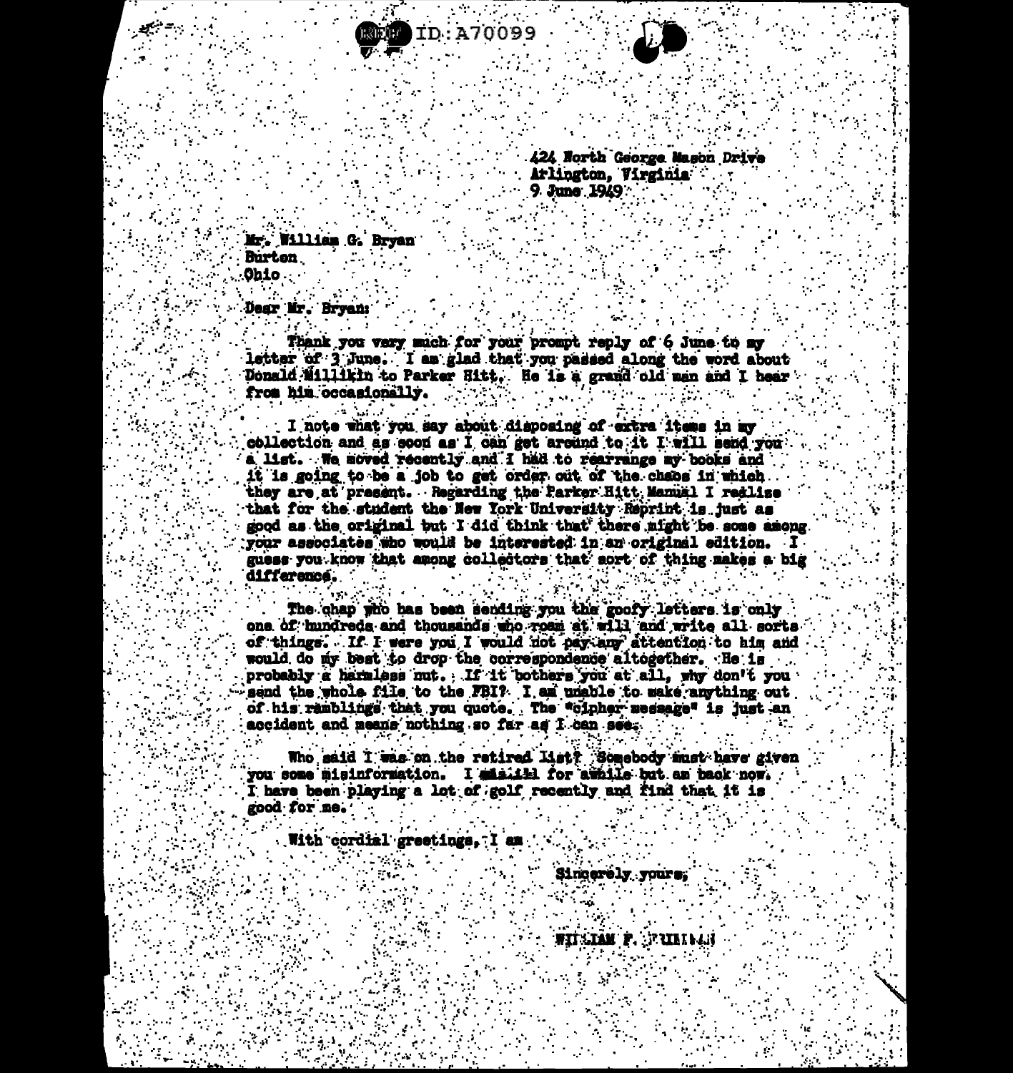



*A2A North George Mason Drive* Arlington. Virginia 9. June 1949

Mr. William G. Bryan **Burton Ohio** 

**Dear Mr. Bryan:** 

Thank you very much for your prompt reply of 6 June to my letter of 3 June. I am glad that you passed along the word about Donald Millikin to Parker Hitt. He is a grand old man and I hear from him occasionally.

I note what you say about disposing of extra items in my collection and as soon as I can get around to it I will send you a list. We moved recently and I had to rearrange my books and it is going to be a job to get order out of the chaos in which they are at present. Regarding the Parker Hitt Manual I redlise that for the student the New York University Reprint is just as good as the original but I did think that there might be some among your associates who would be interested in an original edition. I guess you know that among collectors that sort of thing makes a big difference.

The chap who has been sending you the goofy letters is only one of hundreds and thousands who roam at will and write all sorts of things. If I were you I would not pay any attention to him and would do my best to drop the correspondence altogether. He is probably a harmless nut. If it bothers you at all, why don't you send the whole file to the FBI? I am unable to make anything out of his ramblings that you quote. The "cipher message" is just an accident and means nothing so far as I can see.

Who said I was on the retired list? Somebody must have given you some misinformation. I misiill for awhile but am back now. I have been playing a lot of golf recently and find that it is good for me.

With cordial greetings. I am

Sincerely yours.

**WILLIAM P. STRIBLES**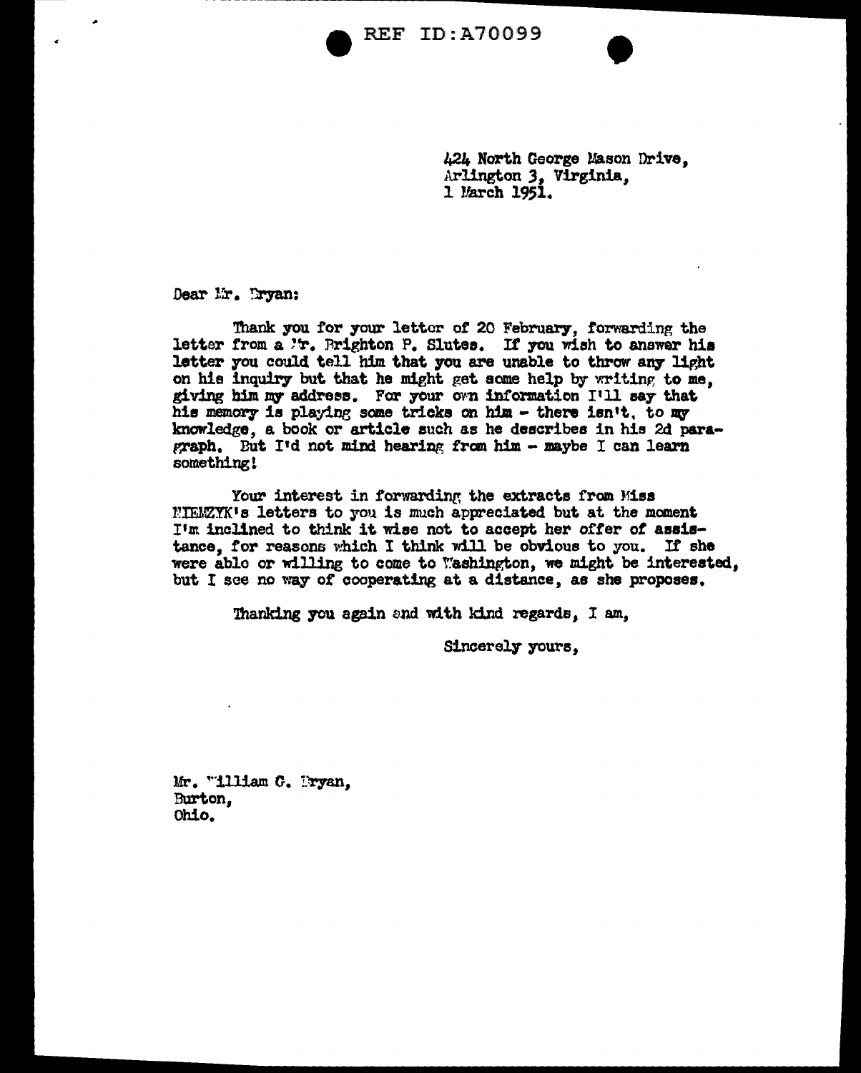**REF ID: A70099** 



Dear lir. Tryan:

Thank you for your letter of 20 February, forwarding the letter from a 'r. Rrighton P. Slutes. If you wish to answer his letter you could tell him that you are unable to throw any light on his inquiry but that he might get some help by writing to me, giving him my address. For your own information I'll say that his memory is playing some tricks on him - there isn't, to my knowledge, a book or article such as he describes in his 2d paragraph. But I'd not mind hearing from him - maybe I can learn something!

Your interest in forwarding the extracts from Miss NIEMZYK's letters to you is much appreciated but at the moment I'm inclined to think it wise not to accept her offer of assistance. for reasons which I think will be obvious to you. If she were able or willing to come to Washington, we might be interested. but I see no way of cooperating at a distance, as she proposes.

Thanking you again and with kind regards, I am,

Sincerely yours.

Mr. "illiam G. Pryan. Burton. Ohio.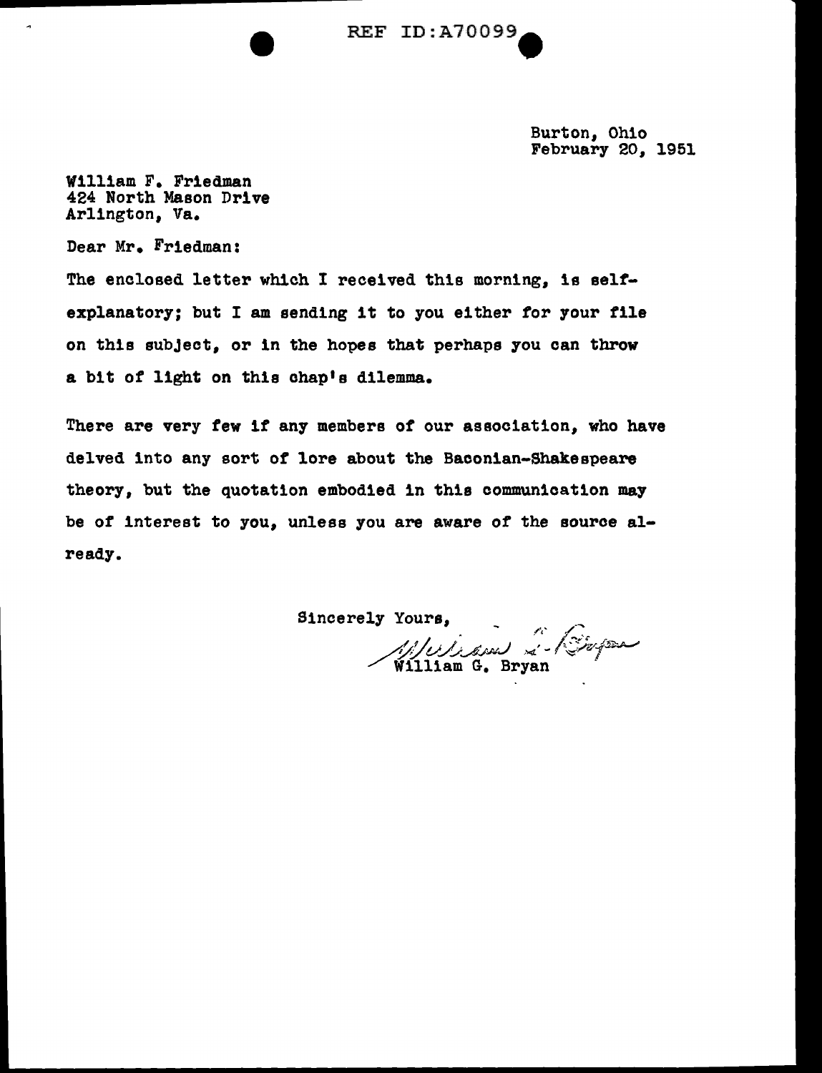REF ID:A70099.

Burton, Ohio February 20, 1951

William F. Friedman 424 North Mason Drive Arlington, Va.

Dear Mr. Friedman:

 $\tilde{\phantom{a}}$ 

The enclosed letter which I received this morning, is selfexplanatory; but I am sending it to you either for your file on this subject, or in the hopes that perhaps you can throw a bit of light on this chap's dilemma.

There are very few if any members of our association, who have delved into any sort of lore about the Baconian-Shakespeare theory, but the quotation embodied in this communication may be of interest to you, unless you are aware of the source already.

Sincerely Yours,  $\overline{a}$ 1, 1 Julian & Bopa William G. Bryan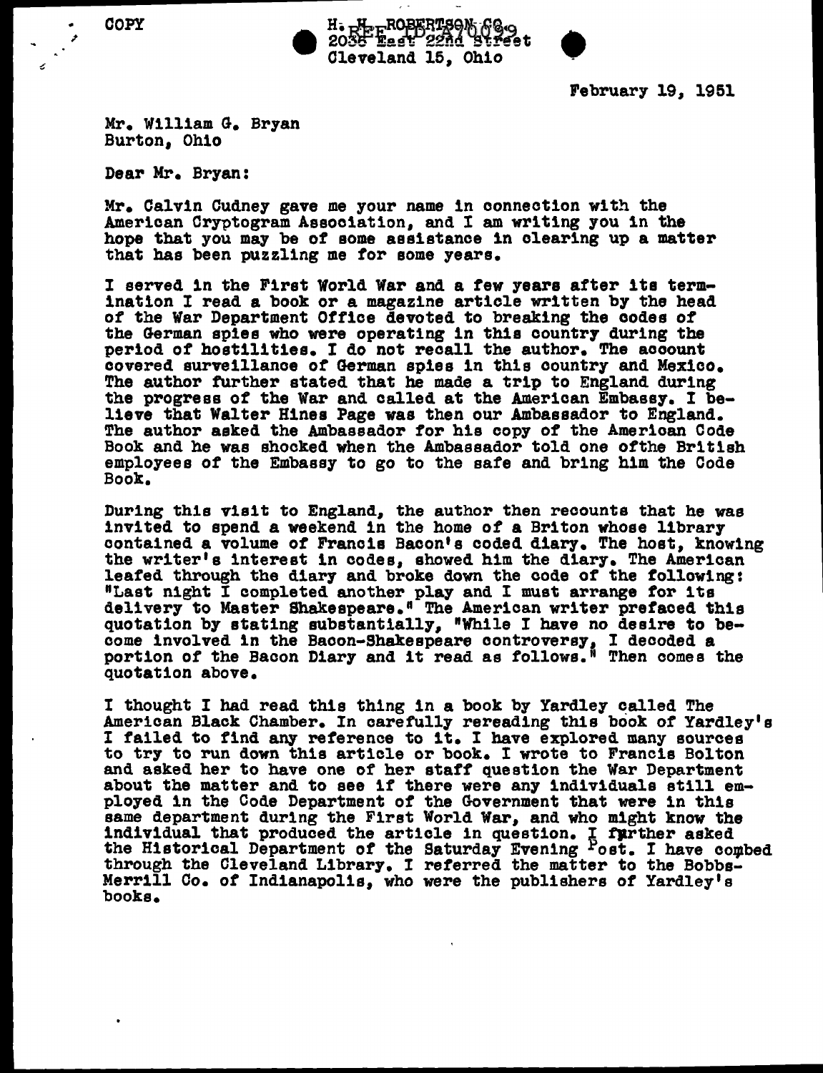.. COPY

z

H. H. ROBERTSON GO.<br>2036 East 22nd Street<br>Cleveland 15, Ohio

February 19, 1951

Mr. William G. Bryan Burton, Ohio

Dear Mr. Bryan:

Mr. Calvin Cudney gave me your name in connection with the American Cryptogram Association, and I am writing you in the hope that you may be of some assistance in clearing up a matter that bas been puzzling me tor some years.

I served 1n the First World War and a tew years after its termination I read a book or a magazine article written by the head of the War Department Office devoted to breaking the codes *ot*  the German spies who were operating in this country during the period of hostilities. I do not recall the author. The account covered surveillance *ot* German spies in this country and Mexico. The author further stated that he made a trip to England during the progress *ot* the War and called at the American Embassy. I believe that Walter Hines Page was then our Ambassador to England. The author asked the Ambassador tor his copy *ot* the American Code Book and he was shocked when the Ambassador told one otthe British employees of the Embassy to go to the safe and bring him the Code Book.

During this visit to England, the author then recounts that he was invited to spend a weekend in the home of a Briton whose library contained a volume of Francis Bacon's coded diary. The host, knowing the writer's interest in codes, showed him the diary. The American leafed through the diary and broke down the code of the following: leafed through the diary and broke down the code of the following: "Last night I completed another play and I must arrange for 1ts delivery to Master Shakespeare." The American writer prefaced this quotation by stating substantially, "While I have no desire to become involved in the Bacon-Shakespeare controversy, I decoded a portion of the Bacon Diary and it read as follows." Then comes the quotation above.

I thought I had read this thing in a book by Yardley called The American Black Chamber. In carefully rereading this book of Yardley's I failed to find any reference to it. I have explored many sources to try to run down this article or book. I wrote to Francis Bolton about the matter and to see if there were any individuals still employed in the Code Department of the Government that were in this same department during the First World War, and who might know the individual that produced the article in question. I further asked the Historical Department of the Saturday Evening Post. I have combed through the Cleveland Library. I referred the matter to the Bobbs-Merrill Co. of Indianapolis, who were the publishers of Yardley's books.